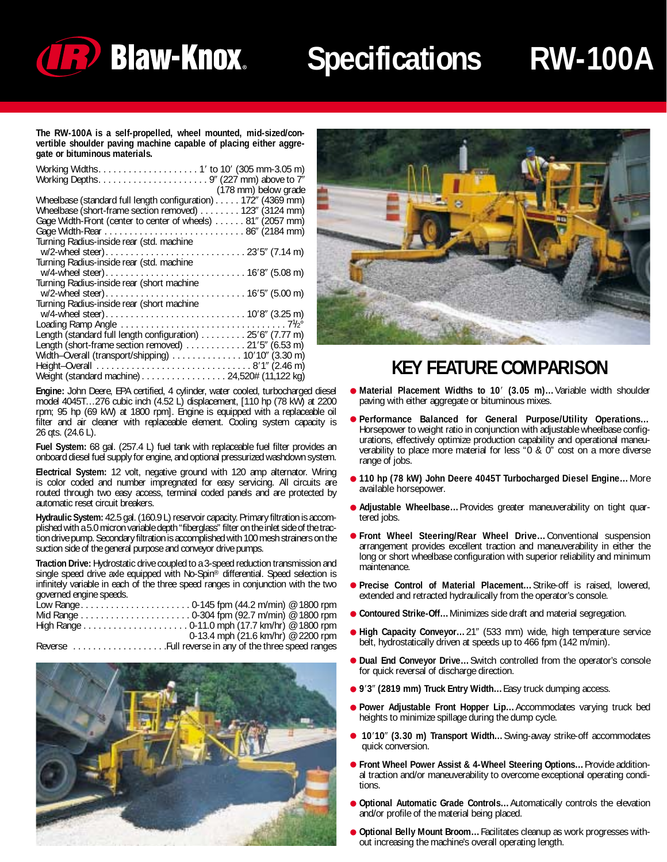

## **Specifications RW-100A**

**The RW-100A is a self-propelled, wheel mounted, mid-sized/convertible shoulder paving machine capable of placing either aggregate or bituminous materials.**

| (178 mm) below grade                                          |
|---------------------------------------------------------------|
| Wheelbase (standard full length configuration) 172" (4369 mm) |
| Wheelbase (short-frame section removed) 123" (3124 mm)        |
| Gage Width-Front (center to center of wheels) 81" (2057 mm)   |
|                                                               |
| Turning Radius-inside rear (std. machine                      |
|                                                               |
| Turning Radius-inside rear (std. machine                      |
|                                                               |
| Turning Radius-inside rear (short machine                     |
|                                                               |
| Turning Radius-inside rear (short machine                     |
|                                                               |
|                                                               |
| Length (standard full length configuration) 25'6" (7.77 m)    |
| Length (short-frame section removed) 21'5" (6.53 m)           |
| Width-Overall (transport/shipping) 10'10" (3.30 m)            |
|                                                               |
| Weight (standard machine) 24,520# (11,122 kg)                 |

**Engine:** John Deere, EPA certified, 4 cylinder, water cooled, turbocharged diesel model 4045T…276 cubic inch (4.52 L) displacement, [110 hp (78 kW) at 2200 rpm; 95 hp (69 kW) at 1800 rpm]. Engine is equipped with a replaceable oil filter and air cleaner with replaceable element. Cooling system capacity is 26 qts. (24.6 L).

**Fuel System:** 68 gal. (257.4 L) fuel tank with replaceable fuel filter provides an onboard diesel fuel supply for engine, and optional pressurized washdown system.

**Electrical System:** 12 volt, negative ground with 120 amp alternator. Wiring is color coded and number impregnated for easy servicing. All circuits are routed through two easy access, terminal coded panels and are protected by automatic reset circuit breakers.

**Hydraulic System:** 42.5 gal. (160.9 L) reservoir capacity. Primary filtration is accomplished with a 5.0 micron variable depth "fiberglass" filter on the inlet side of the traction drive pump. Secondary filtration is accomplished with 100 mesh strainers on the suction side of the general purpose and conveyor drive pumps.

**Traction Drive:** Hydrostatic drive coupled to a 3-speed reduction transmission and single speed drive axle equipped with No-Spin® differential. Speed selection is infinitely variable in each of the three speed ranges in conjunction with the two governed engine speeds.

|                          |  | 0-13.4 mph (21.6 km/hr) @ 2200 rpm |
|--------------------------|--|------------------------------------|
| $\overline{\phantom{0}}$ |  |                                    |

Reverse . . . . . . . . . . . . . . . . . . .Full reverse in any of the three speed ranges





### **KEY FEATURE COMPARISON**

- **Material Placement Widths to 10' (3.05 m)...Variable width shoulder<br>naving with either aggregate or bituminous mixes** paving with either aggregate or bituminous mixes.
- **Performance Balanced for General Purpose/Utility Operations…** Horsepower to weight ratio in conjunction with adjustable wheelbase configurations, effectively optimize production capability and operational maneuverability to place more material for less "0 & 0" cost on a more diverse range of jobs.
- **110 hp (78 kW) John Deere 4045T Turbocharged Diesel Engine…**More available horsepower.
- **Adjustable Wheelbase…**Provides greater maneuverability on tight quartered jobs.
- **Front Wheel Steering/Rear Wheel Drive…**Conventional suspension arrangement provides excellent traction and maneuverability in either the long or short wheelbase configuration with superior reliability and minimum maintenance.
- **Precise Control of Material Placement…**Strike-off is raised, lowered, extended and retracted hydraulically from the operator's console.
- **Contoured Strike-Off…**Minimizes side draft and material segregation.
- High Capacity Conveyor...21" (533 mm) wide, high temperature service belt, hydrostatically driven at speeds up to 466 fpm (142 m/min).
- **Dual End Conveyor Drive…**Switch controlled from the operator's console for quick reversal of discharge direction.
- **9**-**3 (2819 mm) Truck Entry Width…**Easy truck dumping access.
- **Power Adjustable Front Hopper Lip…**Accommodates varying truck bed heights to minimize spillage during the dump cycle.
- **10'10" (3.30 m) Transport Width...** Swing-away strike-off accommodates quick conversion.
- **Front Wheel Power Assist & 4-Wheel Steering Options…**Provide additional traction and/or maneuverability to overcome exceptional operating conditions.
- **Optional Automatic Grade Controls…**Automatically controls the elevation and/or profile of the material being placed.
- **Optional Belly Mount Broom…**Facilitates cleanup as work progresses without increasing the machine's overall operating length.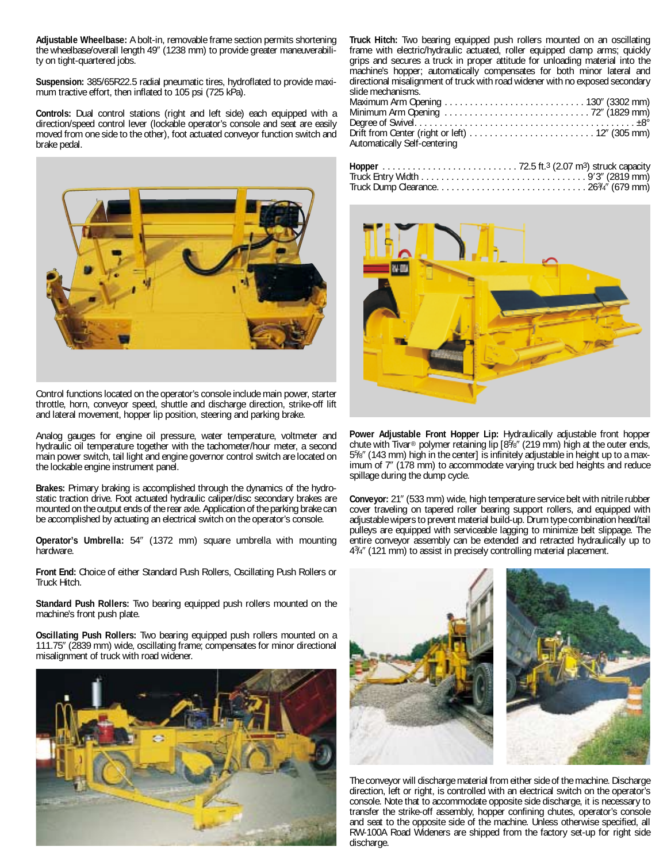**Adjustable Wheelbase:** A bolt-in, removable frame section permits shortening the wheelbase/overall length 49" (1238 mm) to provide greater maneuverability on tight-quartered jobs.

**Suspension:** 385/65R22.5 radial pneumatic tires, hydroflated to provide maximum tractive effort, then inflated to 105 psi (725 kPa).

**Controls:** Dual control stations (right and left side) each equipped with a direction/speed control lever (lockable operator's console and seat are easily moved from one side to the other), foot actuated conveyor function switch and brake pedal.



Control functions located on the operator's console include main power, starter throttle, horn, conveyor speed, shuttle and discharge direction, strike-off lift and lateral movement, hopper lip position, steering and parking brake.

Analog gauges for engine oil pressure, water temperature, voltmeter and hydraulic oil temperature together with the tachometer/hour meter, a second main power switch, tail light and engine governor control switch are located on the lockable engine instrument panel.

**Brakes:** Primary braking is accomplished through the dynamics of the hydrostatic traction drive. Foot actuated hydraulic caliper/disc secondary brakes are mounted on the output ends of the rear axle. Application of the parking brake can be accomplished by actuating an electrical switch on the operator's console.

**Operator's Umbrella:** 54" (1372 mm) square umbrella with mounting hardware.

**Front End:** Choice of either Standard Push Rollers, Oscillating Push Rollers or Truck Hitch.

**Standard Push Rollers:** Two bearing equipped push rollers mounted on the machine's front push plate.

**Oscillating Push Rollers:** Two bearing equipped push rollers mounted on a 111.75 (2839 mm) wide, oscillating frame; compensates for minor directional misalignment of truck with road widener.



**Truck Hitch:** Two bearing equipped push rollers mounted on an oscillating frame with electric/hydraulic actuated, roller equipped clamp arms; quickly grips and secures a truck in proper attitude for unloading material into the machine's hopper; automatically compensates for both minor lateral and directional misalignment of truck with road widener with no exposed secondary slide mechanisms.<br>Maximum Arm One

| Automatically Self-centering |  |
|------------------------------|--|



**Power Adjustable Front Hopper Lip:** Hydraulically adjustable front hopper chute with Tivar® polymer retaining lip [8<sup>5</sup>/8" (219 mm) high at the outer ends, 55 /8 (143 mm) high in the center] is infinitely adjustable in height up to a maximum of 7" (178 mm) to accommodate varying truck bed heights and reduce spillage during the dump cycle.

**Conveyor:** 21" (533 mm) wide, high temperature service belt with nitrile rubber cover traveling on tapered roller bearing support rollers, and equipped with adjustable wipers to prevent material build-up. Drum type combination head/tail pulleys are equipped with serviceable lagging to minimize belt slippage. The entire conveyor assembly can be extended and retracted hydraulically up to 43/4" (121 mm) to assist in precisely controlling material placement.



The conveyor will discharge material from either side of the machine. Discharge direction, left or right, is controlled with an electrical switch on the operator's console. Note that to accommodate opposite side discharge, it is necessary to transfer the strike-off assembly, hopper confining chutes, operator's console and seat to the opposite side of the machine. Unless otherwise specified, all RW-100A Road Wideners are shipped from the factory set-up for right side discharge.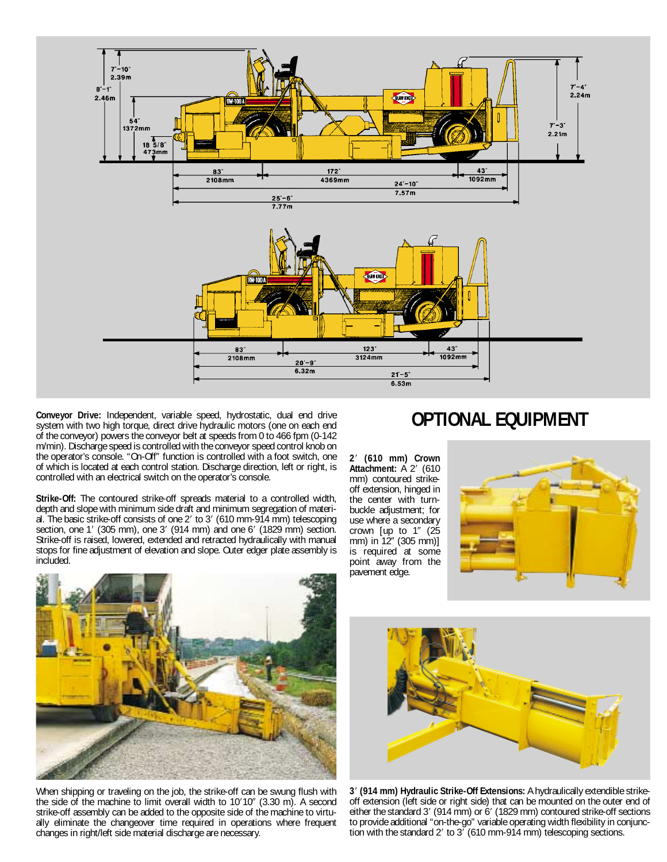

**Conveyor Drive:** Independent, variable speed, hydrostatic, dual end drive system with two high torque, direct drive hydraulic motors (one on each end of the conveyor) powers the conveyor belt at speeds from 0 to 466 fpm (0-142 m/min). Discharge speed is controlled with the conveyor speed control knob on the operator's console. "On-Off" function is controlled with a foot switch, one of which is located at each control station. Discharge direction, left or right, is controlled with an electrical switch on the operator's console.

**Strike-Off:** The contoured strike-off spreads material to a controlled width, depth and slope with minimum side draft and minimum segregation of material. The basic strike-off consists of one 2' to 3' (610 mm-914 mm) telescoping section, one 1' (305 mm), one 3' (914 mm) and one 6' (1829 mm) section. Strike-off is raised, lowered, extended and retracted hydraulically with manual stops for fine adjustment of elevation and slope. Outer edger plate assembly is included.

#### **OPTIONAL EQUIPMENT**

**2**- **(610 mm) Crown Attachment:** A 2' (610 mm) contoured strikeoff extension, hinged in the center with turnbuckle adjustment; for use where a secondary crown [up to 1" (25 mm) in 12" (305 mm)] is required at some point away from the pavement edge.





When shipping or traveling on the job, the strike-off can be swung flush with the side of the machine to limit overall width to 10'10" (3.30 m). A second strike-off assembly can be added to the opposite side of the machine to virtually eliminate the changeover time required in operations where frequent changes in right/left side material discharge are necessary.



**3**- **(914 mm) Hydraulic Strike-Off Extensions:** A hydraulically extendible strikeoff extension (left side or right side) that can be mounted on the outer end of either the standard 3' (914 mm) or 6' (1829 mm) contoured strike-off sections to provide additional "on-the-go" variable operating width flexibility in conjunction with the standard 2' to  $3^{7}$  (610 mm-914 mm) telescoping sections.